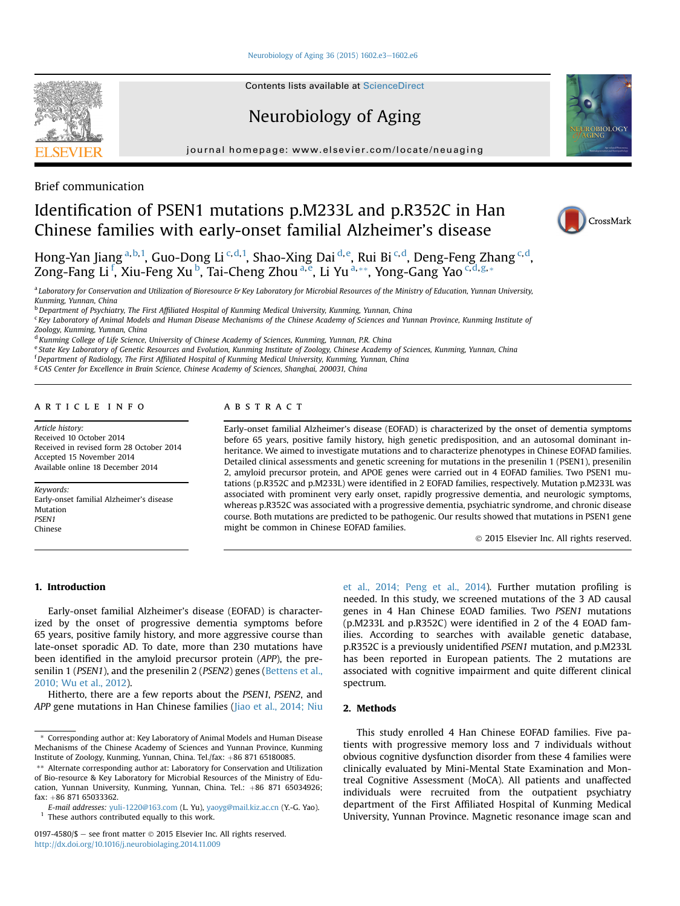#### [Neurobiology of Aging 36 \(2015\) 1602.e3](http://dx.doi.org/10.1016/j.neurobiolaging.2014.11.009)-[1602.e6](http://dx.doi.org/10.1016/j.neurobiolaging.2014.11.009)

**Contents lists available at ScienceDirect** 

# Neurobiology of Aging

journal homepage: [www.elsevier.com/locate/neuaging](http://www.elsevier.com/locate/neuaging)





# Brief communication

# Identification of PSEN1 mutations p.M233L and p.R352C in Han Chinese families with early-onset familial Alzheimer's disease

Hong-Yan Jiang <sup>a,b,1</sup>, Guo-Dong Li <sup>c,d,1</sup>, Shao-Xing Dai <sup>d,e</sup>, Rui Bi <sup>c,d</sup>, Deng-Feng Zhang <sup>c,d</sup>, Zong-Fang Li<sup>f</sup>, Xiu-Feng Xu<sup>b</sup>, Tai-Cheng Zhou<sup>a,e</sup>, Li Yu<sup>a,\*\*</sup>, Yong-Gang Yao<sup>c,d,g,\*</sup>

a Laboratory for Conservation and Utilization of Bioresource & Key Laboratory for Microbial Resources of the Ministry of Education, Yunnan University, Kunming, Yunnan, China

<sup>b</sup> Department of Psychiatry, The First Affiliated Hospital of Kunming Medical University, Kunming, Yunnan, China

<sup>c</sup> Key Laboratory of Animal Models and Human Disease Mechanisms of the Chinese Academy of Sciences and Yunnan Province, Kunming Institute of Zoology, Kunming, Yunnan, China

<sup>d</sup> Kunming College of Life Science, University of Chinese Academy of Sciences, Kunming, Yunnan, P.R. China

e State Key Laboratory of Genetic Resources and Evolution, Kunming Institute of Zoology, Chinese Academy of Sciences, Kunming, Yunnan, China

f Department of Radiology, The First Affiliated Hospital of Kunming Medical University, Kunming, Yunnan, China

<sup>g</sup> CAS Center for Excellence in Brain Science, Chinese Academy of Sciences, Shanghai, 200031, China

#### article info

Article history: Received 10 October 2014 Received in revised form 28 October 2014 Accepted 15 November 2014 Available online 18 December 2014

Keywords: Early-onset familial Alzheimer's disease Mutation PSEN1 Chinese

#### **ABSTRACT**

Early-onset familial Alzheimer's disease (EOFAD) is characterized by the onset of dementia symptoms before 65 years, positive family history, high genetic predisposition, and an autosomal dominant inheritance. We aimed to investigate mutations and to characterize phenotypes in Chinese EOFAD families. Detailed clinical assessments and genetic screening for mutations in the presenilin 1 (PSEN1), presenilin 2, amyloid precursor protein, and APOE genes were carried out in 4 EOFAD families. Two PSEN1 mutations (p.R352C and p.M233L) were identified in 2 EOFAD families, respectively. Mutation p.M233L was associated with prominent very early onset, rapidly progressive dementia, and neurologic symptoms, whereas p.R352C was associated with a progressive dementia, psychiatric syndrome, and chronic disease course. Both mutations are predicted to be pathogenic. Our results showed that mutations in PSEN1 gene might be common in Chinese EOFAD families.

2015 Elsevier Inc. All rights reserved.

## 1. Introduction

Early-onset familial Alzheimer's disease (EOFAD) is characterized by the onset of progressive dementia symptoms before 65 years, positive family history, and more aggressive course than late-onset sporadic AD. To date, more than 230 mutations have been identified in the amyloid precursor protein (APP), the pre-senilin 1 (PSEN1), and the presenilin 2 (PSEN2) genes ([Bettens et al.,](#page--1-0) [2010; Wu et al., 2012\)](#page--1-0).

Hitherto, there are a few reports about the PSEN1, PSEN2, and APP gene mutations in Han Chinese families ([Jiao et al., 2014; Niu](#page--1-0)

 $^{\rm 1}$  These authors contributed equally to this work.

[et al., 2014; Peng et al., 2014\)](#page--1-0). Further mutation profiling is needed. In this study, we screened mutations of the 3 AD causal genes in 4 Han Chinese EOAD families. Two PSEN1 mutations (p.M233L and p.R352C) were identified in 2 of the 4 EOAD families. According to searches with available genetic database, p.R352C is a previously unidentified PSEN1 mutation, and p.M233L has been reported in European patients. The 2 mutations are associated with cognitive impairment and quite different clinical spectrum.

### 2. Methods

This study enrolled 4 Han Chinese EOFAD families. Five patients with progressive memory loss and 7 individuals without obvious cognitive dysfunction disorder from these 4 families were clinically evaluated by Mini-Mental State Examination and Montreal Cognitive Assessment (MoCA). All patients and unaffected individuals were recruited from the outpatient psychiatry department of the First Affiliated Hospital of Kunming Medical University, Yunnan Province. Magnetic resonance image scan and



<sup>\*</sup> Corresponding author at: Key Laboratory of Animal Models and Human Disease Mechanisms of the Chinese Academy of Sciences and Yunnan Province, Kunming Institute of Zoology, Kunming, Yunnan, China. Tel./fax: +86 871 65180085.

<sup>\*\*</sup> Alternate corresponding author at: Laboratory for Conservation and Utilization of Bio-resource & Key Laboratory for Microbial Resources of the Ministry of Education, Yunnan University, Kunming, Yunnan, China. Tel.: +86 871 65034926; fax: +86 871 65033362.

E-mail addresses: [yuli-1220@163.com](mailto:yuli-1220@163.com) (L. Yu), [yaoyg@mail.kiz.ac.cn](mailto:yaoyg@mail.kiz.ac.cn) (Y.-G. Yao).

<sup>0197-4580/\$</sup>  $-$  see front matter  $\odot$  2015 Elsevier Inc. All rights reserved. <http://dx.doi.org/10.1016/j.neurobiolaging.2014.11.009>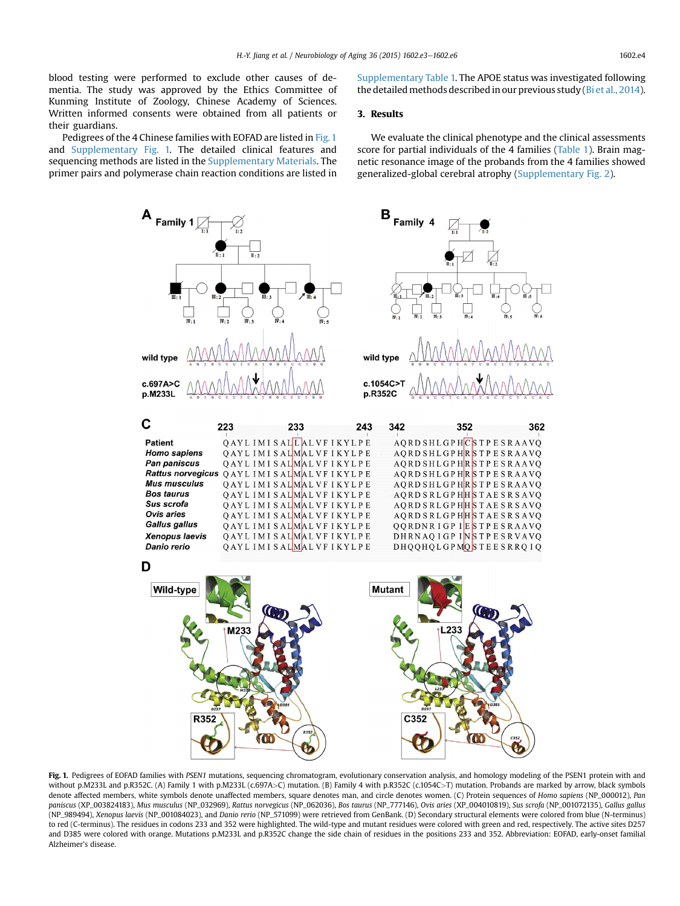blood testing were performed to exclude other causes of dementia. The study was approved by the Ethics Committee of Kunming Institute of Zoology, Chinese Academy of Sciences. Written informed consents were obtained from all patients or their guardians.

Pedigrees of the 4 Chinese families with EOFAD are listed in Fig. 1 and Supplementary Fig. 1. The detailed clinical features and sequencing methods are listed in the Supplementary Materials. The primer pairs and polymerase chain reaction conditions are listed in

Supplementary Table 1. The APOE status was investigated following the detailed methods described in our previous study ([Bi et al., 2014\)](#page--1-0).

## 3. Results

We evaluate the clinical phenotype and the clinical assessments score for partial individuals of the 4 families [\(Table 1](#page--1-0)). Brain magnetic resonance image of the probands from the 4 families showed generalized-global cerebral atrophy (Supplementary Fig. 2).



Fig. 1. Pedigrees of EOFAD families with PSEN1 mutations, sequencing chromatogram, evolutionary conservation analysis, and homology modeling of the PSEN1 protein with and without p.M233L and p.R352C. (A) Family 1 with p.M233L (c.697A>C) mutation. (B) Family 4 with p.R352C (c.1054C>T) mutation. Probands are marked by arrow, black symbols denote affected members, white symbols denote unaffected members, square denotes man, and circle denotes women. (C) Protein sequences of Homo sapiens (NP\_000012), Pan paniscus (XP\_003824183), Mus musculus (NP\_032969), Rattus norvegicus (NP\_062036), Bos taurus (NP\_777146), Ovis aries (XP\_004010819), Sus scrofa (NP\_001072135), Gallus gallus (NP\_989494), Xenopus laevis (NP\_001084023), and Danio rerio (NP\_571099) were retrieved from GenBank. (D) Secondary structural elements were colored from blue (N-terminus) to red (C-terminus). The residues in codons 233 and 352 were highlighted. The wild-type and mutant residues were colored with green and red, respectively. The active sites D257 and D385 were colored with orange. Mutations p.M233L and p.R352C change the side chain of residues in the positions 233 and 352. Abbreviation: EOFAD, early-onset familial Alzheimer's disease.